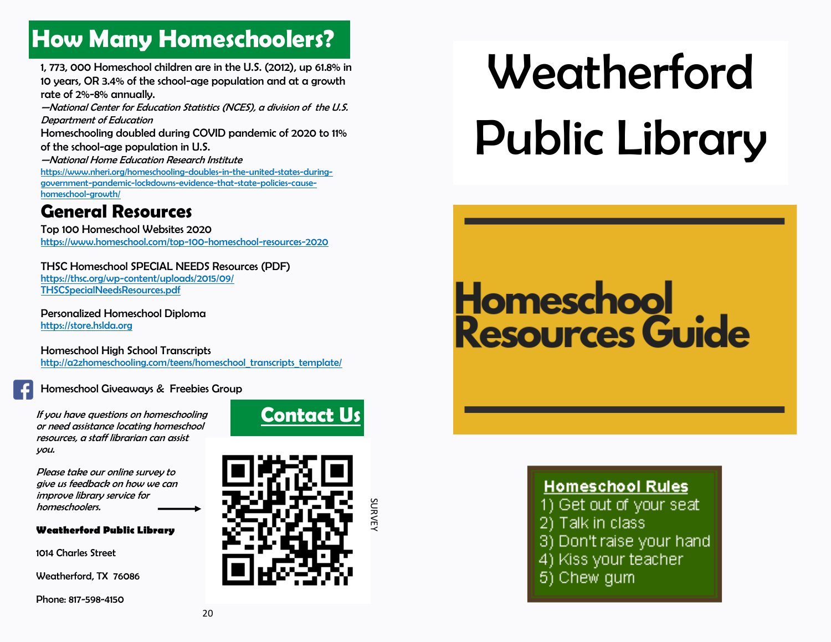## **How Many Homeschoolers?**

1, 773, 000 Homeschool children are in the U.S. (2012), up 61.8% in 10 years, OR 3.4% of the school-age population and at a growth rate of 2%-8% annually.

—National Center for Education Statistics (NCES), a division of the U.S. Department of Education

Homeschooling doubled during COVID pandemic of 2020 to 11% of the school-age population in U.S.

—National Home Education Research Institute [https://www.nheri.org/homeschooling-doubles-in-the-united-states-during](https://www.nheri.org/homeschooling-doubles-in-the-united-states-during-government-pandemic-lockdowns-evidence-that-state-policies-cause-homeschool-growth/)[government-pandemic-lockdowns-evidence-that-state-policies-cause](https://www.nheri.org/homeschooling-doubles-in-the-united-states-during-government-pandemic-lockdowns-evidence-that-state-policies-cause-homeschool-growth/)[homeschool-growth/](https://www.nheri.org/homeschooling-doubles-in-the-united-states-during-government-pandemic-lockdowns-evidence-that-state-policies-cause-homeschool-growth/)

### **General Resources**

Top 100 Homeschool Websites 2020 <https://www.homeschool.com/top-100-homeschool-resources-2020>

THSC Homeschool SPECIAL NEEDS Resources (PDF) [https://thsc.org/wp-content/uploads/2015/09/](https://thsc.org/wp-content/uploads/2015/09/THSCSpecialNeedsResources.pdf) [THSCSpecialNeedsResources.pdf](https://thsc.org/wp-content/uploads/2015/09/THSCSpecialNeedsResources.pdf)

Personalized Homeschool Diploma <https://store.hslda.org>

Homeschool High School Transcripts [http://a2zhomeschooling.com/teens/homeschool\\_transcripts\\_template/](http://a2zhomeschooling.com/teens/homeschool_transcripts_template/)

#### Homeschool Giveaways & Freebies Group

If you have questions on homeschooling<br>**Contact Us** or need assistance locating homeschool resources, a staff librarian can assist you.

Please take our online survey to give us feedback on how we can improve library service for homeschoolers.

#### **Weatherford Public Library**

1014 Charles Street

Weatherford, TX 76086

Phone: 817-598-4150



SURVEY

# Weatherford Public Library

## **Homeschool** Resources Guide

#### **Homeschool Rules**

- 1) Get out of your seat
- 2) Talk in class
- 3) Don't raise your hand
- 4) Kiss your teacher
- 5) Chew gum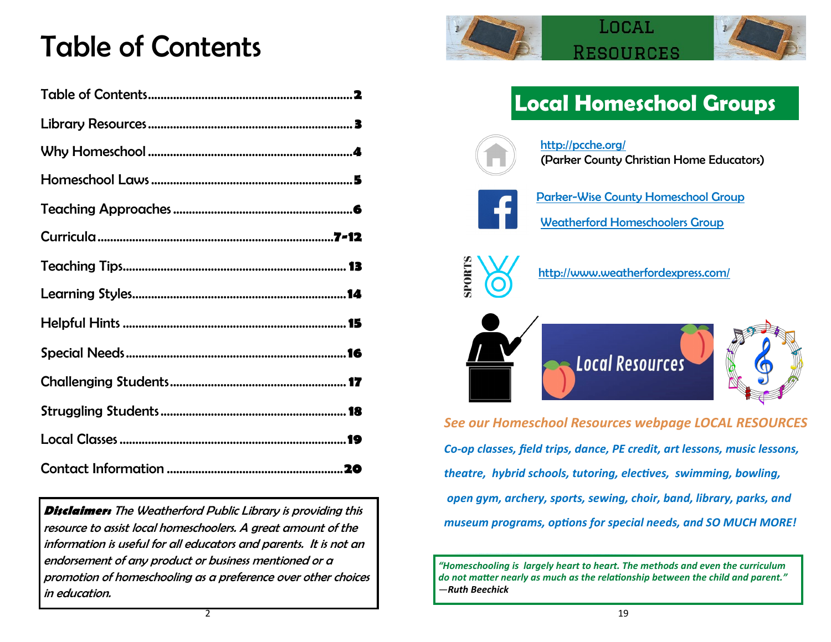## Table of Contents

**Disclaimer:** The Weatherford Public Library is providing this resource to assist local homeschoolers. A great amount of the information is useful for all educators and parents. It is not an endorsement of any product or business mentioned or a promotion of homeschooling as a preference over other choices in education.





### **Local Homeschool Groups**



<http://pcche.org/> (Parker County Christian Home Educators)





<http://www.weatherfordexpress.com/>



*See our Homeschool Resources webpage LOCAL RESOURCES Co-op classes, field trips, dance, PE credit, art lessons, music lessons, theatre, hybrid schools, tutoring, electives, swimming, bowling, open gym, archery, sports, sewing, choir, band, library, parks, and museum programs, options for special needs, and SO MUCH MORE!*

*"Homeschooling is largely heart to heart. The methods and even the curriculum do not matter nearly as much as the relationship between the child and parent." —Ruth Beechick*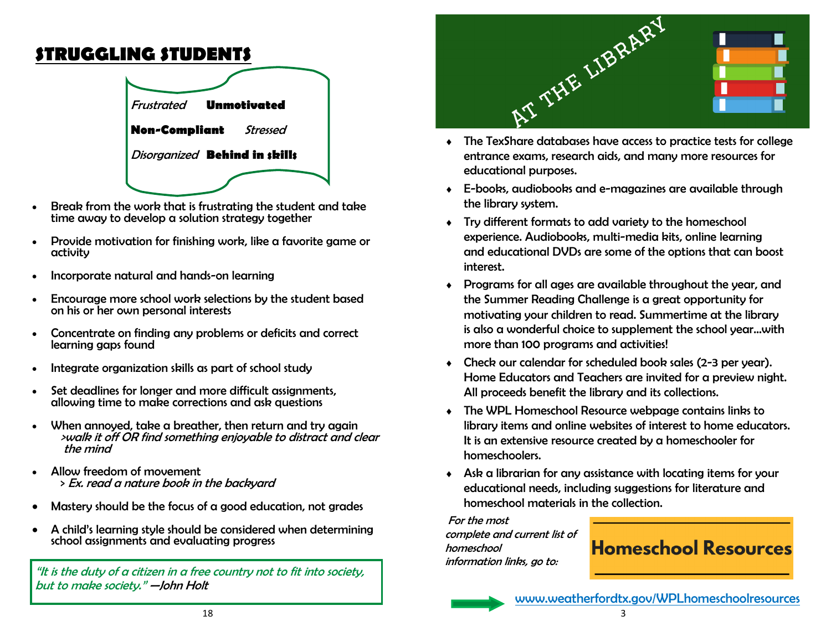### **STRUGGLING STUDENTS**



- Break from the work that is frustrating the student and take time away to develop a solution strategy together
- Provide motivation for finishing work, like a favorite game or activity
- Incorporate natural and hands-on learning
- Encourage more school work selections by the student based on his or her own personal interests
- Concentrate on finding any problems or deficits and correct learning gaps found
- Integrate organization skills as part of school study
- Set deadlines for longer and more difficult assignments, allowing time to make corrections and ask questions
- When annoyed, take a breather, then return and try again >walk it off OR find something enjoyable to distract and clear the mind
- Allow freedom of movement > Ex. read a nature book in the backyard
- Mastery should be the focus of a good education, not grades
- A child's learning style should be considered when determining school assignments and evaluating progress

"It is the duty of a citizen in a free country not to fit into society, but to make society." —John Holt



- entrance exams, research aids, and many more resources for educational purposes.
- E-books, audiobooks and e-magazines are available through the library system.
- Try different formats to add variety to the homeschool experience. Audiobooks, multi-media kits, online learning and educational DVDs are some of the options that can boost interest.
- Programs for all ages are available throughout the year, and the Summer Reading Challenge is a great opportunity for motivating your children to read. Summertime at the library is also a wonderful choice to supplement the school year…with more than 100 programs and activities!
- Check our calendar for scheduled book sales (2-3 per year). Home Educators and Teachers are invited for a preview night. All proceeds benefit the library and its collections.
- The WPL Homeschool Resource webpage contains links to library items and online websites of interest to home educators. It is an extensive resource created by a homeschooler for homeschoolers.
- Ask a librarian for any assistance with locating items for your educational needs, including suggestions for literature and homeschool materials in the collection.

For the most complete and current list of homeschool information links, go to:



[www.weatherfordtx.gov/WPLhomeschoolresources](https://tx-weatherford4.civicplus.com/2999/Homeschool-Resources)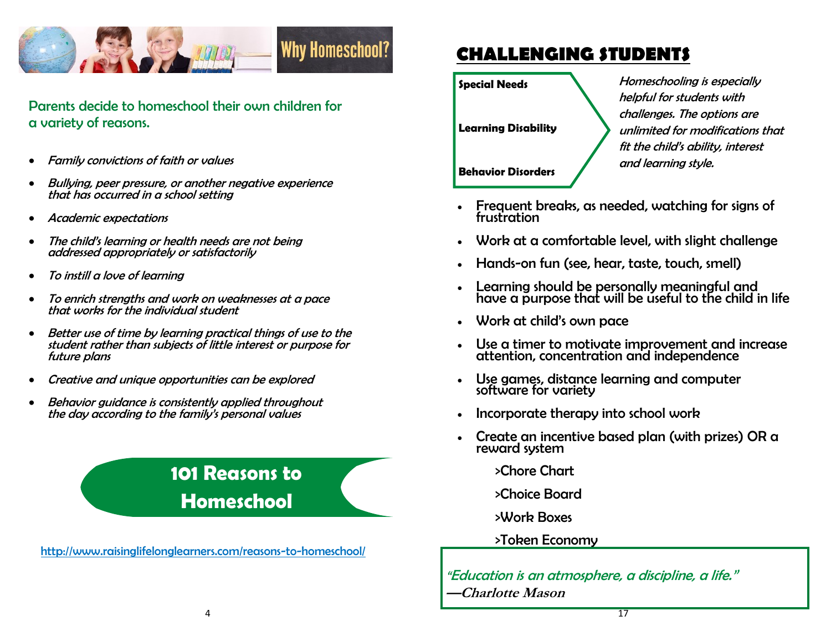

Parents decide to homeschool their own children for a variety of reasons.

- Family convictions of faith or values
- Bullying, peer pressure, or another negative experience that has occurred in a school setting
- Academic expectations
- The child's learning or health needs are not being addressed appropriately or satisfactorily
- To instill a love of learning
- To enrich strengths and work on weaknesses at a pace that works for the individual student
- Better use of time by learning practical things of use to the student rather than subjects of little interest or purpose for future plans
- Creative and unique opportunities can be explored
- Behavior guidance is consistently applied throughout the day according to the family's personal values

### **101 Reasons to Homeschool**

<http://www.raisinglifelonglearners.com/reasons-to-homeschool/>

### **CHALLENGING STUDENTS**

**Special Needs**

**Learning Disability**

Homeschooling is especially helpful for students with challenges. The options are unlimited for modifications that fit the child's ability, interest and learning style.

**Behavior Disorders**

- Frequent breaks, as needed, watching for signs of frustration
- Work at a comfortable level, with slight challenge
- Hands-on fun (see, hear, taste, touch, smell)
- Learning should be personally meaningful and have a purpose that will be useful to the child in life
- Work at child's own pace
- Use a timer to motivate improvement and increase attention, concentration and independence
- Use games, distance learning and computer software for variety
- Incorporate therapy into school work
- Create an incentive based plan (with prizes) OR a reward system

>Chore Chart

- >Choice Board
- >Work Boxes

#### >Token Economy

"Education is an atmosphere, a discipline, a life." **—Charlotte Mason**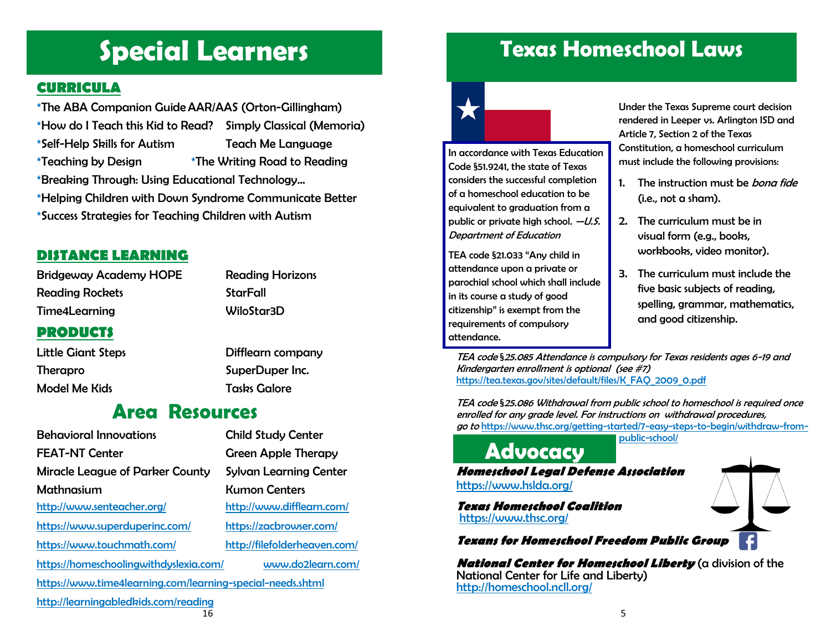## **Special Learners**

#### **CURRICULA**

\*The ABA Companion GuideAAR/AAS (Orton-Gillingham) \*How do I Teach this Kid to Read? Simply Classical (Memoria) \*Self-Help Skills for Autism Teach Me Language  $*$ Teaching by Design  $*$ The Writing Road to Reading \*Breaking Through: Using Educational Technology... \*Helping Children with Down Syndrome Communicate Better \*Success Strategies for Teaching Children with Autism

#### **DISTANCE LEARNING**

Bridgeway Academy HOPE Reading Horizons Reading Rockets **StarFall** Time4Learning WiloStar3D

### **PRODUCTS**

Therapro SuperDuper Inc. Model Me Kids Tasks Galore

Little Giant Steps Difflearn company

### **Area Resources**

| <b>Behavioral Innovations</b>                              | <b>Child Study Center</b>     |
|------------------------------------------------------------|-------------------------------|
| <b>FEAT-NT Center</b>                                      | <b>Green Apple Therapy</b>    |
| <b>Miracle League of Parker County</b>                     | <b>Sylvan Learning Center</b> |
| Mathnasium                                                 | <b>Kumon Centers</b>          |
| http://www.senteacher.org/                                 | http://www.difflearn.com/     |
| https://www.superduperinc.com/                             | https://zacbrowser.com/       |
| https://www.touchmath.com/                                 | http://filefolderheaven.com/  |
| https://homeschoolingwithdyslexia.com/                     | www.do2learn.com/             |
| https://www.time4learning.com/learning-special-needs.shtml |                               |

<http://learningabledkids.com/reading>

considers the successful completion of a homeschool education to be equivalent to graduation from a public or private high school.  $-U.S.$ Department of Education

In accordance with Texas Education Code §51.9241, the state of Texas

TEA code §21.033 "Any child in attendance upon a private or parochial school which shall include in its course a study of good citizenship" is exempt from the requirements of compulsory attendance.

Under the Texas Supreme court decision rendered in Leeper vs. Arlington ISD and Article 7, Section 2 of the Texas Constitution, a homeschool curriculum must include the following provisions:

- 1. The instruction must be *bona fide* (i.e., not a sham).
- 2. The curriculum must be in visual form (e.g., books, workbooks, video monitor).
- 3. The curriculum must include the five basic subjects of reading, spelling, grammar, mathematics, and good citizenship.

TEA code §25.085 Attendance is compulsory for Texas residents ages 6-19 and Kindergarten enrollment is optional (see #7) [https://tea.texas.gov/sites/default/files/K\\_FAQ\\_2009\\_0.pdf](https://tea.texas.gov/sites/default/files/K_FAQ_2009_0.pdf)

**Texas Homeschool Laws**

TEA code §25.086 Withdrawal from public school to homeschool is required once enrolled for any grade level. For instructions on withdrawal procedures, go to [https://www.thsc.org/getting-started/7-easy-steps-to-begin/withdraw-from](https://www.thsc.org/getting-started/7-easy-steps-to-begin/withdraw-from-public-school/)[public-school/](https://www.thsc.org/getting-started/7-easy-steps-to-begin/withdraw-from-public-school/)

**Homeschool Legal Defense Association** <https://www.hslda.org/> **Advocacy** 

**Texas Homeschool Coalition** <https://www.thsc.org/>

**Texans for Homeschool Freedom Public Group** 

**National Center for Homeschool Liberty** (a division of the National Center for Life and Liberty) http://homeschool.ncll.org/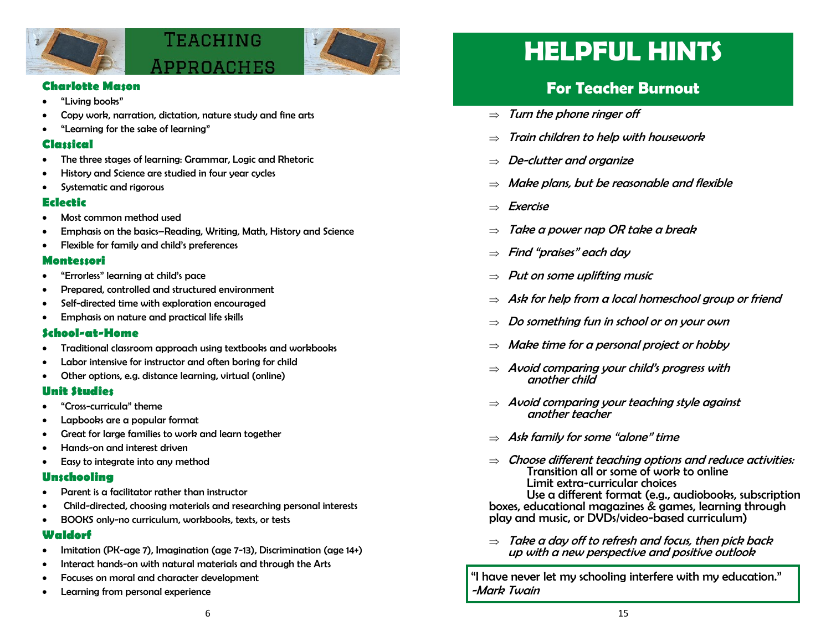

## TEACHING



#### **Charlotte Mason**

- "Living books"
- Copy work, narration, dictation, nature study and fine arts
- "Learning for the sake of learning"

#### **Classical**

- The three stages of learning: Grammar, Logic and Rhetoric
- History and Science are studied in four year cycles
- Systematic and rigorous

#### **Eclectic**

- Most common method used
- Emphasis on the basics–Reading, Writing, Math, History and Science
- Flexible for family and child's preferences

#### **Montessori**

- "Errorless" learning at child's pace
- Prepared, controlled and structured environment
- Self-directed time with exploration encouraged
- Emphasis on nature and practical life skills

#### **School-at-Home**

- Traditional classroom approach using textbooks and workbooks
- Labor intensive for instructor and often boring for child
- Other options, e.g. distance learning, virtual (online)

#### **Unit Studies**

- "Cross-curricula" theme
- Lapbooks are a popular format
- Great for large families to work and learn together
- Hands-on and interest driven
- Easy to integrate into any method

#### **Unschooling**

- Parent is a facilitator rather than instructor
- Child-directed, choosing materials and researching personal interests
- BOOKS only-no curriculum, workbooks, texts, or tests

#### **Waldorf**

- Imitation (PK-age 7), Imagination (age 7-13), Discrimination (age 14+)
- Interact hands-on with natural materials and through the Arts
- Focuses on moral and character development
- Learning from personal experience

## **HELPFUL HINTS**

### **For Teacher Burnout**

- $\Rightarrow$  Turn the phone ringer off
- $\Rightarrow$  Train children to help with housework
- $\Rightarrow$  De-clutter and organize
- $\Rightarrow$  Make plans, but be reasonable and flexible
- $\Rightarrow$  Exercise
- $\Rightarrow$  Take a power nap OR take a break
- $\Rightarrow$  Find "praises" each day
- $\Rightarrow$  Put on some uplifting music
- $\Rightarrow$  Ask for help from a local homeschool group or friend
- $\Rightarrow$  Do something fun in school or on your own
- $\Rightarrow$  Make time for a personal project or hobby
- $\Rightarrow$  Avoid comparing your child's progress with another child
- $\Rightarrow$  Avoid comparing your teaching style against another teacher
- $\Rightarrow$  Ask family for some "alone" time
- $\Rightarrow$  Choose different teaching options and reduce activities: Transition all or some of work to online Limit extra-curricular choices Use a different format (e.g., audiobooks, subscription boxes, educational magazines & games, learning through
- $\Rightarrow$  Take a day off to refresh and focus, then pick back up with a new perspective and positive outlook

play and music, or DVDs/video-based curriculum)

"I have never let my schooling interfere with my education." -Mark Twain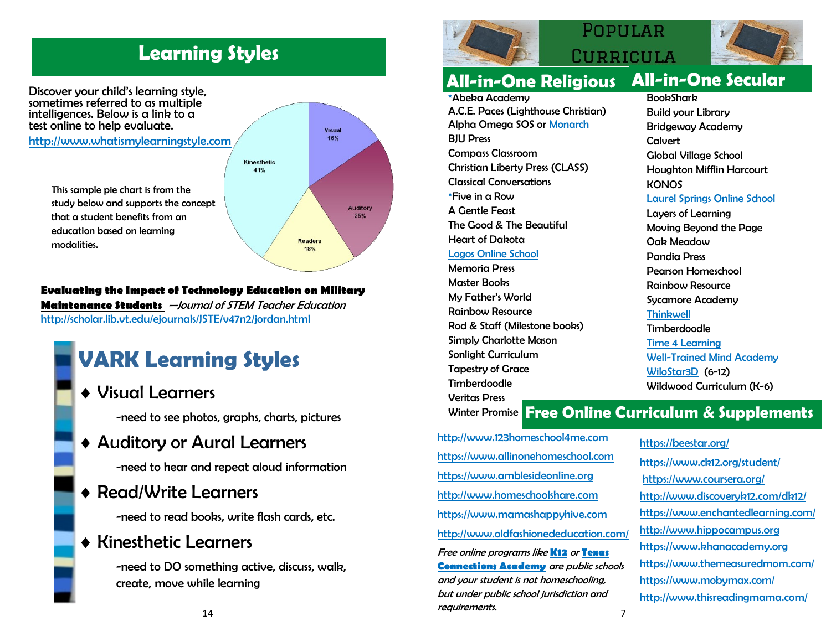### **Learning Styles**



#### **Evaluating the Impact of Technology Education on Military**

**Maintenance Students** —Journal of STEM Teacher Education <http://scholar.lib.vt.edu/ejournals/JSTE/v47n2/jordan.html>

### **VARK Learning Styles**

Visual Learners

-need to see photos, graphs, charts, pictures

### Auditory or Aural Learners

-need to hear and repeat aloud information

Read/Write Learners

-need to read books, write flash cards, etc.

### Kinesthetic Learners

-need to DO something active, discuss, walk, create, move while learning



### POPHLAR CURRICULA



### **All-in-One Religious All-in-One Secular**

\*Abeka Academy A.C.E. Paces (Lighthouse Christian) Alpha Omega SOS or [Monarch](https://www.aop.com/curriculum/monarch) BJU Press Compass Classroom Christian Liberty Press (CLASS) Classical Conversations \*Five in a Row A Gentle Feast The Good & The Beautiful Heart of Dakota [Logos Online School](https://logosonlineschool.com/)

Memoria Press Master Books My Father's World Rainbow Resource Rod & Staff (Milestone books) Simply Charlotte Mason Sonlight Curriculum Tapestry of Grace Timberdoodle Veritas Press

**BookShark** Build your Library Bridgeway Academy Calvert Global Village School Houghton Mifflin Harcourt **KONOS** [Laurel Springs Online School](https://laurelsprings.com/) Layers of Learning Moving Beyond the Page Oak Meadow Pandia Press Pearson Homeschool Rainbow Resource Sycamore Academy **[Thinkwell](https://www.thinkwell.com/)** Timberdoodle [Time 4 Learning](https://www.time4learning.com/)

[Well-Trained Mind Academy](https://www.wtmacademy.com/) [WiloStar3D](https://wilostar3d.com/) (6-12) Wildwood Curriculum (K-6)

### Winter Promise **Free Online Curriculum & Supplements**

[http://www.123homeschool4me.com](http://www.123homeschool4me.com/) [https://www.allinonehomeschool.com](https://allinonehomeschool.com/) [https://www.amblesideonline.org](https://www.amblesideonline.org/) [http://www.homeschoolshare.com](http://www.homeschoolshare.com/) [https://www.mamashappyhive.com](https://www.mamashappyhive.com/category/curriculum/) <http://www.oldfashionededucation.com/> Free online programs like **[K12](https://start.k12.com/national.html?gclid=EAIaIQobChMImtb8-5iR6gIVTtbACh2AMgX7EAAYASAAEgK4tPD_BwE&st=TX&product=public_schools_generic&leadsource=sem&vendor=acronym&utm_source=Google+Adwords&utm_medium=cpc&utm_campaign=TX%3EMPS%3ESEM%3EBrand%3EBrand%3EGoog)** or **[Texas](https://learn.connectionsacademy.com/texas/?ao=2&utm_source=google&utm_medium=cpc&utm_network=g&utm_campaign=Texas%2BNon+Brand%2BGeneric%2BSPART%2BBMM&utm_term=%2Btx%20%2Bonline%20%2Bschool&utm_matchtype=b&utm_device=c&utm_creative=374169607187&utm_adposit)  [Connections Academy](https://learn.connectionsacademy.com/texas/?ao=2&utm_source=google&utm_medium=cpc&utm_network=g&utm_campaign=Texas%2BNon+Brand%2BGeneric%2BSPART%2BBMM&utm_term=%2Btx%20%2Bonline%20%2Bschool&utm_matchtype=b&utm_device=c&utm_creative=374169607187&utm_adposit)** are public schools and your student is not homeschooling, but under public school jurisdiction and requirements.

<https://beestar.org/> <https://www.ck12.org/student/> <https://www.coursera.org/> [http://www.discoveryk12.com/dk12/](http://discoveryk12.com/dk12/) <https://www.enchantedlearning.com/> [http://www.hippocampus.org](http://www.hippocampus.org/) [https://www.khanacademy.org](https://www.khanacademy.org/) <https://www.themeasuredmom.com/> <https://www.mobymax.com/> [http://www.thisreadingmama.com/](http://thisreadingmama.com/)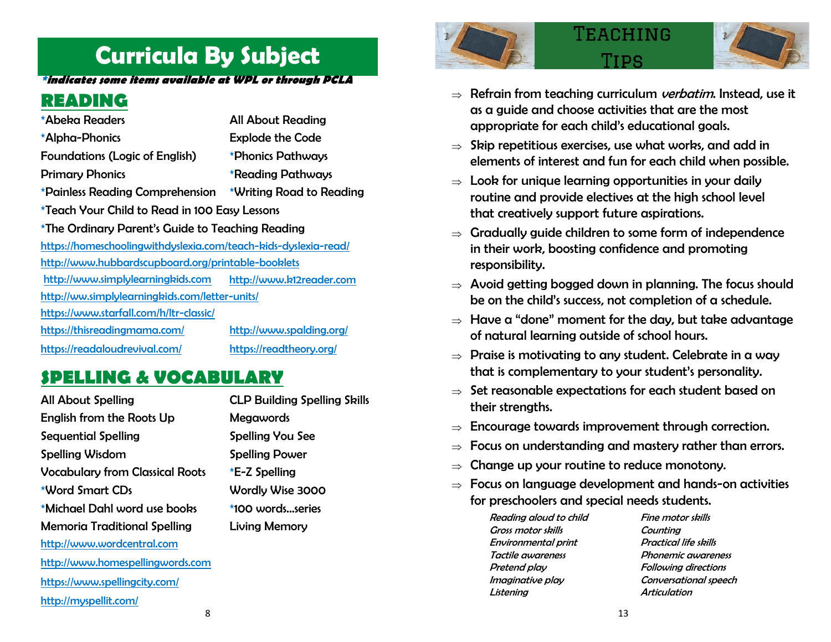### **Curricula By Subject**

#### **\*indicates some items available at WPL or through PCLA**

### **READING**

| *Abeka Readers                                                  | <b>All About Reading</b> |
|-----------------------------------------------------------------|--------------------------|
| *Alpha-Phonics                                                  | <b>Explode the Code</b>  |
| <b>Foundations (Logic of English)</b>                           | *Phonics Pathways        |
| <b>Primary Phonics</b>                                          | *Reading Pathways        |
| *Painless Reading Comprehension                                 | *Writing Road to Reading |
| *Teach Your Child to Read in 100 Easy Lessons                   |                          |
| *The Ordinary Parent's Guide to Teaching Reading                |                          |
| https://homeschoolingwithdyslexia.com/teach-kids-dyslexia-read/ |                          |
| http://www.hubbardscupboard.org/printable-booklets              |                          |
| http://www.simplylearningkids.com                               | http://www.k12reader.com |
| http://ww.simplylearningkids.com/letter-units/                  |                          |
| https://www.starfall.com/h/ltr-classic/                         |                          |
| https://thisreadingmama.com/                                    | http://www.spalding.org/ |
| https://readaloudrevival.com/                                   | https://readtheory.org/  |

### **SPELLING & VOCABULARY**

| <b>All About Spelling</b>              |  |
|----------------------------------------|--|
| English from the Roots Up              |  |
| Sequential Spelling                    |  |
| <b>Spelling Wisdom</b>                 |  |
| <b>Vocabulary from Classical Roots</b> |  |
| *Word Smart CDs                        |  |
| *Michael Dahl word use books           |  |
| <b>Memoria Traditional Spelling</b>    |  |
| http://www.wordcentral.com             |  |
| http://www.homespellingwords.com       |  |
| https://www.spellingcity.com/          |  |
| http://myspellit.com/                  |  |
|                                        |  |

**CLP Building Spelling Skills Megawords** Spelling You See **Spelling Power**  $E-Z$  Spelling Wordly Wise 3000 \*100 words series Living Memory



## TEACHING



- $\Rightarrow$  Refrain from teaching curriculum *verbatim*. Instead, use it as a guide and choose activities that are the most appropriate for each child's educational goals.
- $\Rightarrow$  Skip repetitious exercises, use what works, and add in elements of interest and fun for each child when possible.
- $\Rightarrow$  Look for unique learning opportunities in your daily routine and provide electives at the high school level that creatively support future aspirations.
- $\Rightarrow$  Gradually guide children to some form of independence in their work, boosting confidence and promoting responsibility.
- $\Rightarrow$  Avoid getting bogged down in planning. The focus should be on the child's success, not completion of a schedule.
- $\Rightarrow$  Have a "done" moment for the day, but take advantage of natural learning outside of school hours.
- $\Rightarrow$  Praise is motivating to any student. Celebrate in a way that is complementary to your student's personality.
- $\Rightarrow$  Set reasonable expectations for each student based on their strengths.
- $\Rightarrow$  Encourage towards improvement through correction.
- $\Rightarrow$  Focus on understanding and mastery rather than errors.
- $\Rightarrow$  Change up your routine to reduce monotony.
- $\Rightarrow$  Focus on language development and hands-on activities for preschoolers and special needs students.

Reading aloud to child Fine motor skills Gross motor skills Counting Environmental print Practical life skills Tactile awareness Phonemic awareness Pretend play Following directions Imaginative play Conversational speech Listening Articulation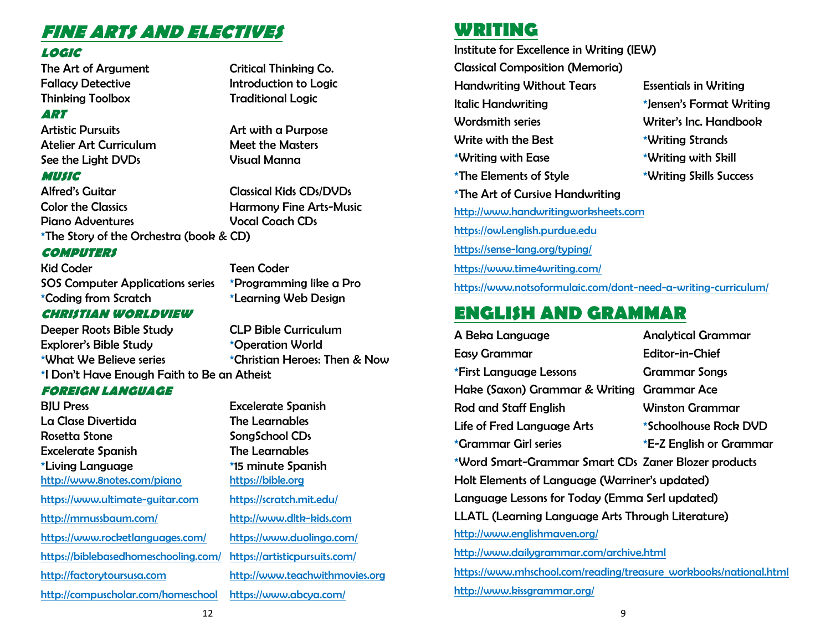### **FINE ARTS AND ELECTIVES**

#### **LOGIC**

The Art of Argument Critical Thinking Co. Fallacy Detective **Introduction to Logic** Thinking Toolbox Traditional Logic

#### **ART**

Artistic Pursuits **Artistic Pursuits** Art with a Purpose Atelier Art Curriculum Meet the Masters See the Light DVDs Visual Manna

#### **MUSIC**

Alfred's Guitar Classical Kids CDs/DVDs Color the Classics **Example 20 Harmony Fine Arts-Music** Piano Adventures Vocal Coach CDs \*The Story of the Orchestra (book & CD)

#### **COMPUTERS**

Kid Coder Teen Coder SOS Computer Applications series \*Programming like a Pro \*Coding from Scratch \*Learning Web Design

#### **CHRISTIAN WORLDVIEW**

Deeper Roots Bible Study CLP Bible Curriculum Explorer's Bible Study \*Operation World \*What We Believe series \*Christian Heroes: Then & Now \*I Don't Have Enough Faith to Be an Atheist

#### **FOREIGN LANGUAGE**

| <b>BJU Press</b><br>La Clase Divertida<br>Rosetta Stone<br><b>Excelerate Spanish</b><br>*Living Language<br>http://www.8notes.com/piano | <b>Excelerate Spanish</b><br><b>The Learnables</b><br>SongSchool CDs<br>The Learnables<br>*15 minute Spanish<br>https://bible.org |
|-----------------------------------------------------------------------------------------------------------------------------------------|-----------------------------------------------------------------------------------------------------------------------------------|
| https://www.ultimate-guitar.com                                                                                                         | https://scratch.mit.edu/                                                                                                          |
| http://mrnussbaum.com/                                                                                                                  | http://www.dltk-kids.com                                                                                                          |
| https://www.rocketlanguages.com/                                                                                                        | https://www.duolingo.com/                                                                                                         |
| https://biblebasedhomeschooling.com/                                                                                                    | https://artisticpursuits.com/                                                                                                     |
| http://factorytoursusa.com                                                                                                              | http://www.teachwithmovies.org                                                                                                    |
| http://compuscholar.com/homeschool                                                                                                      | https://www.abcya.com/                                                                                                            |

### **WRITING**

Institute for Excellence in Writing (IEW) Classical Composition (Memoria) Handwriting Without Tears Essentials in Writing Italic Handwriting \*Jensen's Format Writing Wordsmith series Writer's Inc. Handbook Write with the Best **\*Writing Strands** \*Writing with Ease \*Writing with Skill \*The Elements of Style \*Writing Skills Success \*The Art of Cursive Handwriting [http://www.handwritingworksheets.com](http://www.handwritingworksheets.com/) [https://owl.english.purdue.edu](https://owl.english.purdue.edu/) <https://sense-lang.org/typing/> <https://www.time4writing.com/> <https://www.notsoformulaic.com/dont-need-a-writing-curriculum/>

### **ENGLISH AND GRAMMAR**

A Beka Language Analytical Grammar Easy Grammar Editor-in-Chief \*First Language Lessons Grammar Songs Hake (Saxon) Grammar & Writing Grammar Ace Rod and Staff English Winston Grammar Life of Fred Language Arts \* \* Schoolhouse Rock DVD \*Grammar Girl series \*E-Z English or Grammar \*Word Smart-Grammar Smart CDs Zaner Blozer products Holt Elements of Language (Warriner's updated) Language Lessons for Today (Emma Serl updated) LLATL (Learning Language Arts Through Literature) <http://www.englishmaven.org/> <http://www.dailygrammar.com/archive.html> [https://www.mhschool.com/reading/treasure\\_workbooks/national.html](https://www.mhschool.com/reading/treasure_workbooks/national.html) <http://www.kissgrammar.org/>

12